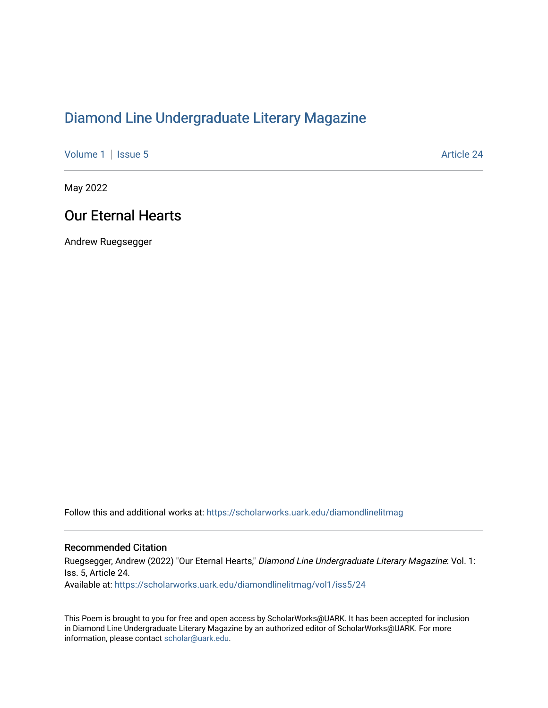## [Diamond Line Undergraduate Literary Magazine](https://scholarworks.uark.edu/diamondlinelitmag)

[Volume 1](https://scholarworks.uark.edu/diamondlinelitmag/vol1) | [Issue 5](https://scholarworks.uark.edu/diamondlinelitmag/vol1/iss5) Article 24

May 2022

## Our Eternal Hearts

Andrew Ruegsegger

Follow this and additional works at: [https://scholarworks.uark.edu/diamondlinelitmag](https://scholarworks.uark.edu/diamondlinelitmag?utm_source=scholarworks.uark.edu%2Fdiamondlinelitmag%2Fvol1%2Fiss5%2F24&utm_medium=PDF&utm_campaign=PDFCoverPages) 

## Recommended Citation

Ruegsegger, Andrew (2022) "Our Eternal Hearts," Diamond Line Undergraduate Literary Magazine: Vol. 1: Iss. 5, Article 24. Available at: [https://scholarworks.uark.edu/diamondlinelitmag/vol1/iss5/24](https://scholarworks.uark.edu/diamondlinelitmag/vol1/iss5/24?utm_source=scholarworks.uark.edu%2Fdiamondlinelitmag%2Fvol1%2Fiss5%2F24&utm_medium=PDF&utm_campaign=PDFCoverPages) 

This Poem is brought to you for free and open access by ScholarWorks@UARK. It has been accepted for inclusion in Diamond Line Undergraduate Literary Magazine by an authorized editor of ScholarWorks@UARK. For more information, please contact [scholar@uark.edu.](mailto:scholar@uark.edu)